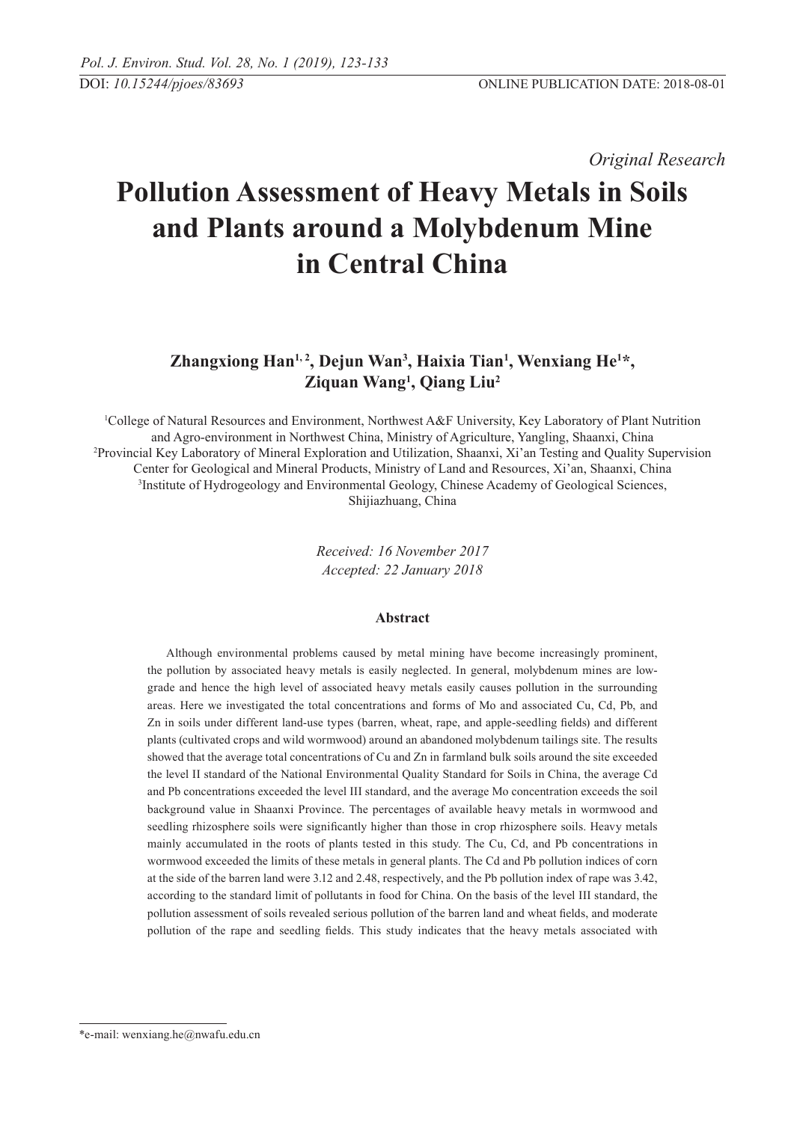*Original Research* 

# **Pollution Assessment of Heavy Metals in Soils and Plants around a Molybdenum Mine in Central China**

# Zhangxiong Han<sup>1, 2</sup>, Dejun Wan<sup>3</sup>, Haixia Tian<sup>1</sup>, Wenxiang He<sup>1\*</sup>, **Ziquan Wang1 , Qiang Liu2**

1 College of Natural Resources and Environment, Northwest A&F university, Key Laboratory of Plant Nutrition and Agro-environment in Northwest China, Ministry of Agriculture, Yangling, Shaanxi, China 2 Provincial Key Laboratory of Mineral Exploration and Utilization, Shaanxi, Xi'an Testing and Quality Supervision Center for Geological and Mineral Products, Ministry of Land and Resources, Xi'an, Shaanxi, China 3 Institute of Hydrogeology and Environmental Geology, Chinese Academy of Geological Sciences, Shijiazhuang, China

> *Received: 16 November 2017 Accepted: 22 January 2018*

# **Abstract**

Although environmental problems caused by metal mining have become increasingly prominent, the pollution by associated heavy metals is easily neglected. In general, molybdenum mines are lowgrade and hence the high level of associated heavy metals easily causes pollution in the surrounding areas. Here we investigated the total concentrations and forms of Mo and associated Cu, Cd, Pb, and Zn in soils under different land-use types (barren, wheat, rape, and apple-seedling fields) and different plants (cultivated crops and wild wormwood) around an abandoned molybdenum tailings site. The results showed that the average total concentrations of Cu and Zn in farmland bulk soils around the site exceeded the level II standard of the National Environmental Quality Standard for Soils in China, the average Cd and Pb concentrations exceeded the level III standard, and the average Mo concentration exceeds the soil background value in Shaanxi Province. The percentages of available heavy metals in wormwood and seedling rhizosphere soils were significantly higher than those in crop rhizosphere soils. Heavy metals mainly accumulated in the roots of plants tested in this study. The Cu, Cd, and Pb concentrations in wormwood exceeded the limits of these metals in general plants. The Cd and Pb pollution indices of corn at the side of the barren land were 3.12 and 2.48, respectively, and the Pb pollution index of rape was 3.42, according to the standard limit of pollutants in food for China. On the basis of the level III standard, the pollution assessment of soils revealed serious pollution of the barren land and wheat fields, and moderate pollution of the rape and seedling fields. This study indicates that the heavy metals associated with

<sup>\*</sup>e-mail: wenxiang.he@nwafu.edu.cn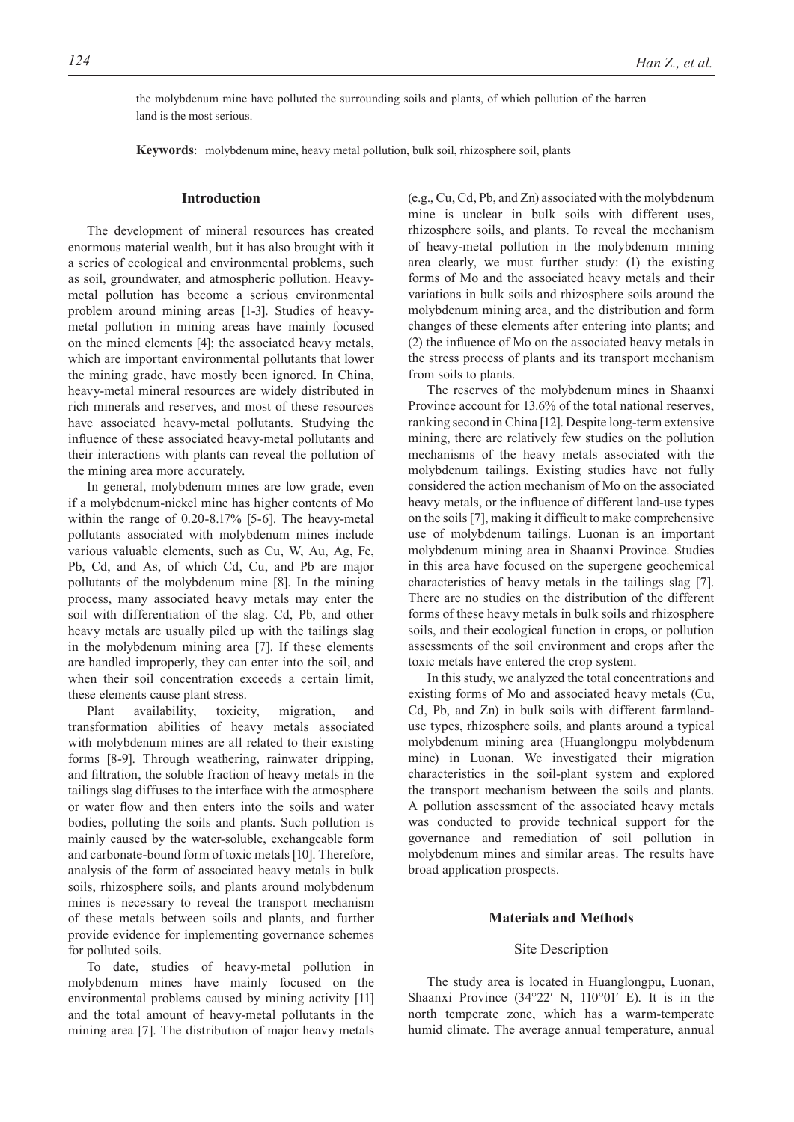the molybdenum mine have polluted the surrounding soils and plants, of which pollution of the barren land is the most serious.

**Keywords**: molybdenum mine, heavy metal pollution, bulk soil, rhizosphere soil, plants

#### **Introduction**

The development of mineral resources has created enormous material wealth, but it has also brought with it a series of ecological and environmental problems, such as soil, groundwater, and atmospheric pollution. Heavymetal pollution has become a serious environmental problem around mining areas [1-3]. Studies of heavymetal pollution in mining areas have mainly focused on the mined elements [4]; the associated heavy metals, which are important environmental pollutants that lower the mining grade, have mostly been ignored. In China, heavy-metal mineral resources are widely distributed in rich minerals and reserves, and most of these resources have associated heavy-metal pollutants. Studying the influence of these associated heavy-metal pollutants and their interactions with plants can reveal the pollution of the mining area more accurately.

In general, molybdenum mines are low grade, even if a molybdenum-nickel mine has higher contents of Mo within the range of 0.20-8.17% [5-6]. The heavy-metal pollutants associated with molybdenum mines include various valuable elements, such as Cu, W, Au, Ag, Fe, Pb, Cd, and As, of which Cd, Cu, and Pb are major pollutants of the molybdenum mine [8]. In the mining process, many associated heavy metals may enter the soil with differentiation of the slag. Cd, Pb, and other heavy metals are usually piled up with the tailings slag in the molybdenum mining area [7]. If these elements are handled improperly, they can enter into the soil, and when their soil concentration exceeds a certain limit, these elements cause plant stress.

Plant availability, toxicity, migration, and transformation abilities of heavy metals associated with molybdenum mines are all related to their existing forms [8-9]. Through weathering, rainwater dripping, and filtration, the soluble fraction of heavy metals in the tailings slag diffuses to the interface with the atmosphere or water flow and then enters into the soils and water bodies, polluting the soils and plants. Such pollution is mainly caused by the water-soluble, exchangeable form and carbonate-bound form of toxic metals [10]. Therefore, analysis of the form of associated heavy metals in bulk soils, rhizosphere soils, and plants around molybdenum mines is necessary to reveal the transport mechanism of these metals between soils and plants, and further provide evidence for implementing governance schemes for polluted soils.

To date, studies of heavy-metal pollution in molybdenum mines have mainly focused on the environmental problems caused by mining activity [11] and the total amount of heavy-metal pollutants in the mining area [7]. The distribution of major heavy metals (e.g., Cu, Cd, Pb, and Zn) associated with the molybdenum mine is unclear in bulk soils with different uses, rhizosphere soils, and plants. To reveal the mechanism of heavy-metal pollution in the molybdenum mining area clearly, we must further study: (1) the existing forms of Mo and the associated heavy metals and their variations in bulk soils and rhizosphere soils around the molybdenum mining area, and the distribution and form changes of these elements after entering into plants; and (2) the influence of Mo on the associated heavy metals in the stress process of plants and its transport mechanism from soils to plants.

The reserves of the molybdenum mines in Shaanxi Province account for 13.6% of the total national reserves, ranking second in China [12]. Despite long-term extensive mining, there are relatively few studies on the pollution mechanisms of the heavy metals associated with the molybdenum tailings. Existing studies have not fully considered the action mechanism of Mo on the associated heavy metals, or the influence of different land-use types on the soils [7], making it difficult to make comprehensive use of molybdenum tailings. Luonan is an important molybdenum mining area in Shaanxi Province. Studies in this area have focused on the supergene geochemical characteristics of heavy metals in the tailings slag [7]. There are no studies on the distribution of the different forms of these heavy metals in bulk soils and rhizosphere soils, and their ecological function in crops, or pollution assessments of the soil environment and crops after the toxic metals have entered the crop system.

In this study, we analyzed the total concentrations and existing forms of Mo and associated heavy metals (Cu, Cd, Pb, and Zn) in bulk soils with different farmlanduse types, rhizosphere soils, and plants around a typical molybdenum mining area (Huanglongpu molybdenum mine) in Luonan. We investigated their migration characteristics in the soil-plant system and explored the transport mechanism between the soils and plants. A pollution assessment of the associated heavy metals was conducted to provide technical support for the governance and remediation of soil pollution in molybdenum mines and similar areas. The results have broad application prospects.

# **Materials and Methods**

#### Site Description

The study area is located in Huanglongpu, Luonan, Shaanxi Province (34°22′ N, 110°01′ E). It is in the north temperate zone, which has a warm-temperate humid climate. The average annual temperature, annual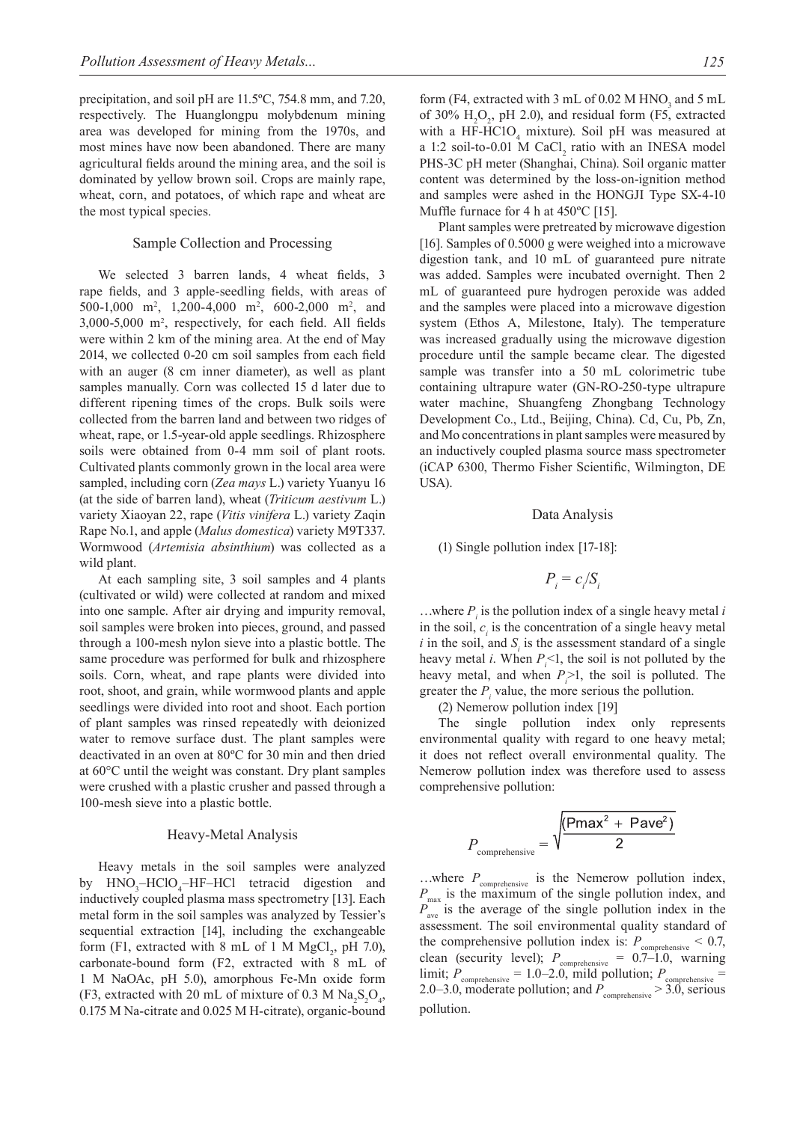precipitation, and soil pH are 11.5ºC, 754.8 mm, and 7.20, respectively. The Huanglongpu molybdenum mining area was developed for mining from the 1970s, and most mines have now been abandoned. There are many agricultural fields around the mining area, and the soil is dominated by yellow brown soil. Crops are mainly rape, wheat, corn, and potatoes, of which rape and wheat are the most typical species.

# Sample Collection and Processing

We selected 3 barren lands, 4 wheat fields, 3 rape fields, and 3 apple-seedling fields, with areas of 500-1,000 m<sup>2</sup>, 1,200-4,000 m<sup>2</sup>, 600-2,000 m<sup>2</sup>, and 3,000-5,000 m2 , respectively, for each field. All fields were within 2 km of the mining area. At the end of May 2014, we collected 0-20 cm soil samples from each field with an auger (8 cm inner diameter), as well as plant samples manually. Corn was collected 15 d later due to different ripening times of the crops. Bulk soils were collected from the barren land and between two ridges of wheat, rape, or 1.5-year-old apple seedlings. Rhizosphere soils were obtained from 0-4 mm soil of plant roots. Cultivated plants commonly grown in the local area were sampled, including corn (*Zea mays* L.) variety Yuanyu 16 (at the side of barren land), wheat (*Triticum aestivum* L.) variety Xiaoyan 22, rape (*Vitis vinifera* L.) variety Zaqin Rape No.1, and apple (*Malus domestica*) variety M9T337. Wormwood (*Artemisia absinthium*) was collected as a wild plant.

At each sampling site, 3 soil samples and 4 plants (cultivated or wild) were collected at random and mixed into one sample. After air drying and impurity removal, soil samples were broken into pieces, ground, and passed through a 100-mesh nylon sieve into a plastic bottle. The same procedure was performed for bulk and rhizosphere soils. Corn, wheat, and rape plants were divided into root, shoot, and grain, while wormwood plants and apple seedlings were divided into root and shoot. Each portion of plant samples was rinsed repeatedly with deionized water to remove surface dust. The plant samples were deactivated in an oven at 80ºC for 30 min and then dried at 60°C until the weight was constant. Dry plant samples were crushed with a plastic crusher and passed through a 100-mesh sieve into a plastic bottle.

#### Heavy-Metal Analysis

Heavy metals in the soil samples were analyzed by HNO<sub>3</sub>-HClO<sub>4</sub>-HF-HCl tetracid digestion and inductively coupled plasma mass spectrometry [13]. Each metal form in the soil samples was analyzed by Tessier's sequential extraction [14], including the exchangeable form (F1, extracted with 8 mL of 1 M  $MgCl_2$ , pH 7.0), carbonate-bound form (F2, extracted with 8 mL of 1 M NaOAc, pH 5.0), amorphous Fe-Mn oxide form (F3, extracted with 20 mL of mixture of 0.3 M  $\text{Na}_2\text{S}_2\text{O}_4$ , 0.175 M Na-citrate and 0.025 M H-citrate), organic-bound

form (F4, extracted with 3 mL of 0.02 M  $HNO<sub>3</sub>$  and 5 mL of 30%  $H_2O_2$ , pH 2.0), and residual form (F5, extracted with a HF-HC1O<sub>4</sub> mixture). Soil pH was measured at a 1:2 soil-to-0.01 M CaCl<sub>2</sub> ratio with an INESA model PHS-3C pH meter (Shanghai, China). Soil organic matter content was determined by the loss-on-ignition method and samples were ashed in the HONGJI Type SX-4-10 Muffle furnace for 4 h at 450°C [15].

Plant samples were pretreated by microwave digestion [16]. Samples of 0.5000 g were weighed into a microwave digestion tank, and 10 mL of guaranteed pure nitrate was added. Samples were incubated overnight. Then 2 mL of guaranteed pure hydrogen peroxide was added and the samples were placed into a microwave digestion system (Ethos A, Milestone, Italy). The temperature was increased gradually using the microwave digestion procedure until the sample became clear. The digested sample was transfer into a 50 mL colorimetric tube containing ultrapure water (GN-RO-250-type ultrapure water machine, Shuangfeng Zhongbang Technology Development Co., Ltd., Beijing, China). Cd, Cu, Pb, Zn, and Mo concentrations in plant samples were measured by an inductively coupled plasma source mass spectrometer (iCAP 6300, Thermo Fisher Scientific, Wilmington, DE USA).

#### Data Analysis

(1) Single pollution index [17-18]:

$$
P_i = c_i / S_i
$$

...where  $P_i$  is the pollution index of a single heavy metal *i* in the soil,  $c_i$  is the concentration of a single heavy metal *i* in the soil, and  $S_i$  is the assessment standard of a single heavy metal *i*. When  $P_i$ <1, the soil is not polluted by the heavy metal, and when  $P_i > 1$ , the soil is polluted. The greater the  $P_i$  value, the more serious the pollution.

(2) Nemerow pollution index [19]

The single pollution index only represents environmental quality with regard to one heavy metal; it does not reflect overall environmental quality. The Nemerow pollution index was therefore used to assess comprehensive pollution:

$$
P_{\text{comprehensive}} = \sqrt{\frac{(\text{Pmax}^2 + \text{Pave}^2)}{2}}
$$

...where  $P_{\text{comprehensive}}$  is the Nemerow pollution index,  $P_{\text{max}}$  is the maximum of the single pollution index, and  $P_{\text{ave}}$  is the average of the single pollution index in the assessment. The soil environmental quality standard of the comprehensive pollution index is:  $P_{\text{comprehensive}} < 0.7$ , clean (security level);  $P_{\text{comprehensive}} = 0.7{\text -}1.0$ , warning limit;  $P_{\text{comprehensive}} = 1.0{\text -}2.0$ , mild pollution;  $P_{\text{comprehensive}} =$ 2.0–3.0, moderate pollution; and  $P_{\text{comprehensive}} > 3.0$ , serious pollution.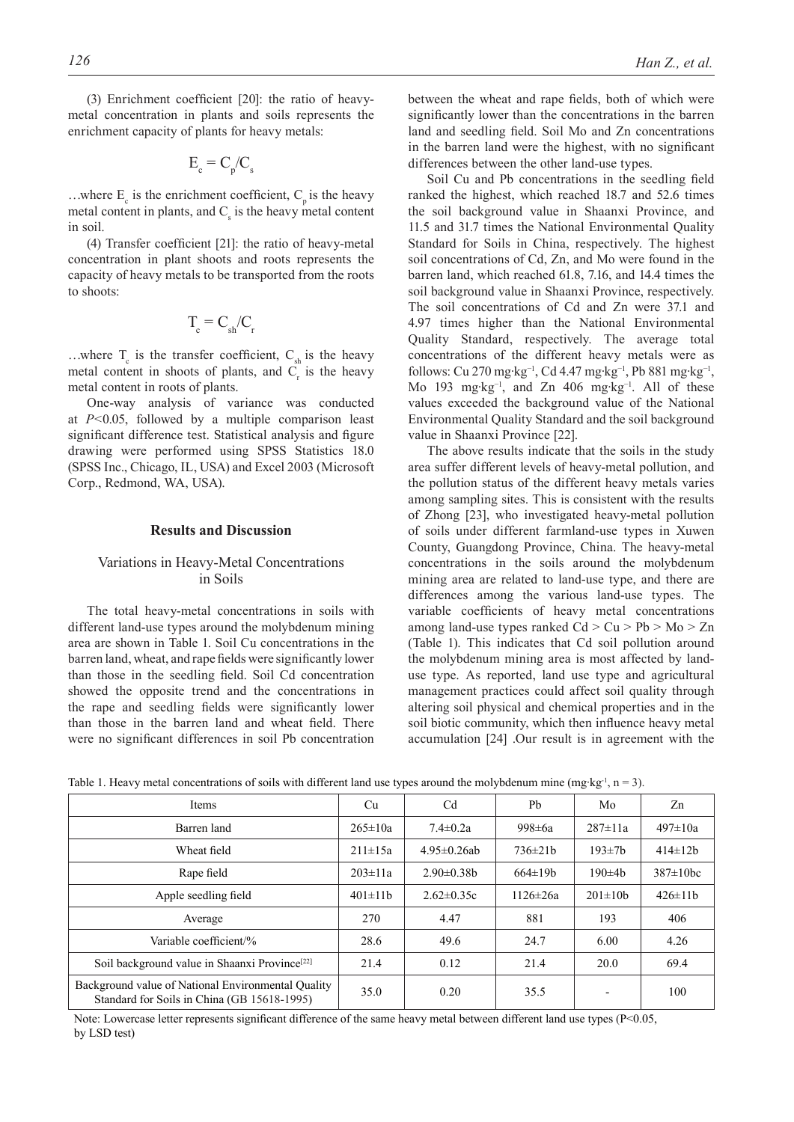(3) Enrichment coefficient [20]: the ratio of heavymetal concentration in plants and soils represents the enrichment capacity of plants for heavy metals:

$$
E_c = C_p/C_s
$$

...where  $E_c$  is the enrichment coefficient,  $C_p$  is the heavy metal content in plants, and  $C_s$  is the heavy metal content in soil.

(4) Transfer coefficient [21]: the ratio of heavy-metal concentration in plant shoots and roots represents the capacity of heavy metals to be transported from the roots to shoots:

$$
T_c = C_{sh}/C_r
$$

...where  $T_c$  is the transfer coefficient,  $C_{sh}$  is the heavy metal content in shoots of plants, and  $C_r$  is the heavy metal content in roots of plants.

One-way analysis of variance was conducted at *P<*0.05, followed by a multiple comparison least significant difference test. Statistical analysis and figure drawing were performed using SPSS Statistics 18.0 (SPSS Inc., Chicago, IL, USA) and Excel 2003 (Microsoft Corp., Redmond, WA, USA).

# **Results and Discussion**

#### Variations in Heavy-Metal Concentrations in Soils

The total heavy-metal concentrations in soils with different land-use types around the molybdenum mining area are shown in Table 1. Soil Cu concentrations in the barren land, wheat, and rape fields were significantly lower than those in the seedling field. Soil Cd concentration showed the opposite trend and the concentrations in the rape and seedling fields were significantly lower than those in the barren land and wheat field. There were no significant differences in soil Pb concentration between the wheat and rape fields, both of which were significantly lower than the concentrations in the barren land and seedling field. Soil Mo and Zn concentrations in the barren land were the highest, with no significant differences between the other land-use types.

Soil Cu and Pb concentrations in the seedling field ranked the highest, which reached 18.7 and 52.6 times the soil background value in Shaanxi Province, and 11.5 and 31.7 times the National Environmental Quality Standard for Soils in China, respectively. The highest soil concentrations of Cd, Zn, and Mo were found in the barren land, which reached 61.8, 7.16, and 14.4 times the soil background value in Shaanxi Province, respectively. The soil concentrations of Cd and Zn were 37.1 and 4.97 times higher than the National Environmental Quality Standard, respectively. The average total concentrations of the different heavy metals were as follows: Cu 270 mg·kg−1, Cd 4.47 mg·kg−1, Pb 881 mg·kg−1, Mo 193 mg·kg−1, and Zn 406 mg·kg−1. All of these values exceeded the background value of the National Environmental Quality Standard and the soil background value in Shaanxi Province [22].

The above results indicate that the soils in the study area suffer different levels of heavy-metal pollution, and the pollution status of the different heavy metals varies among sampling sites. This is consistent with the results of Zhong [23], who investigated heavy-metal pollution of soils under different farmland-use types in Xuwen County, Guangdong Province, China. The heavy-metal concentrations in the soils around the molybdenum mining area are related to land-use type, and there are differences among the various land-use types. The variable coefficients of heavy metal concentrations among land-use types ranked  $Cd > Cu > Pb > Mo > Zn$ (Table 1). This indicates that Cd soil pollution around the molybdenum mining area is most affected by landuse type. As reported, land use type and agricultural management practices could affect soil quality through altering soil physical and chemical properties and in the soil biotic community, which then influence heavy metal accumulation [24] .Our result is in agreement with the

| Items                                                                                             | Cu            | C <sub>d</sub>     | Pb             | Mo                       | Zn              |
|---------------------------------------------------------------------------------------------------|---------------|--------------------|----------------|--------------------------|-----------------|
| Barren land                                                                                       | $265 \pm 10a$ | $7.4 \pm 0.2a$     | 998 $\pm$ 6a   | $287 \pm 11a$            | $497 \pm 10a$   |
| Wheat field                                                                                       | $211 \pm 15a$ | $4.95 \pm 0.26$ ab | $736 \pm 21b$  | $193 \pm 7b$             | $414 \pm 12b$   |
| Rape field                                                                                        | $203 \pm 11a$ | $2.90 \pm 0.38$    | $664 \pm 19b$  | $190\pm 4h$              | $387 \pm 10$ hc |
| Apple seedling field                                                                              | $401 \pm 11b$ | $2.62 \pm 0.35c$   | $1126 \pm 26a$ | $201 \pm 10b$            | $426 \pm 11b$   |
| Average                                                                                           | 270           | 4.47               | 881            | 193                      | 406             |
| Variable coefficient/%                                                                            | 28.6          | 49.6               | 24.7           | 6.00                     | 4.26            |
| Soil background value in Shaanxi Province <sup>[22]</sup>                                         | 21.4          | 0.12               | 21.4           | 20.0                     | 69.4            |
| Background value of National Environmental Quality<br>Standard for Soils in China (GB 15618-1995) | 35.0          | 0.20               | 35.5           | $\overline{\phantom{0}}$ | 100             |

Table 1. Heavy metal concentrations of soils with different land use types around the molybdenum mine (mg·kg<sup>-1</sup>, n = 3).

Note: Lowercase letter represents significant difference of the same heavy metal between different land use types ( $P < 0.05$ , by LSD test)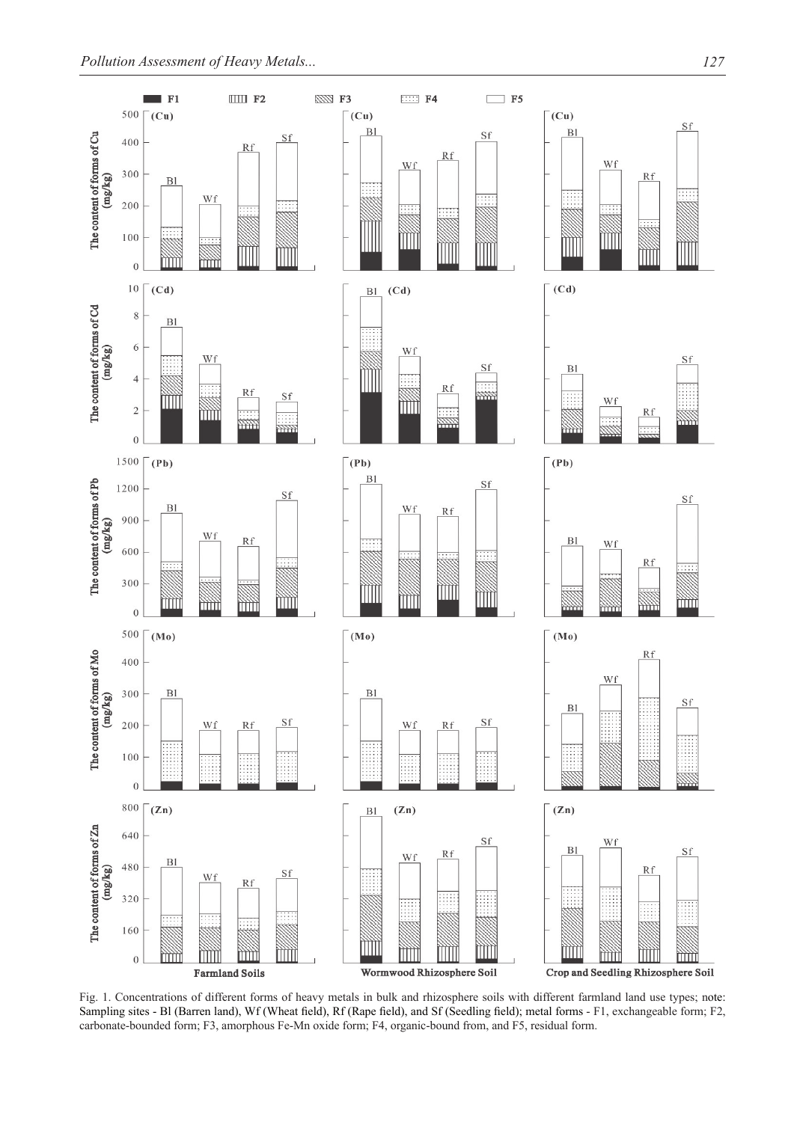

Fig. 1. Concentrations of different forms of heavy metals in bulk and rhizosphere soils with different farmland land use types; note: Sampling sites - Bl (Barren land), Wf (Wheat field), Rf (Rape field), and Sf (Seedling field); metal forms - F1, exchangeable form; F2, carbonate-bounded form; F3, amorphous Fe-Mn oxide form; F4, organic-bound from, and F5, residual form.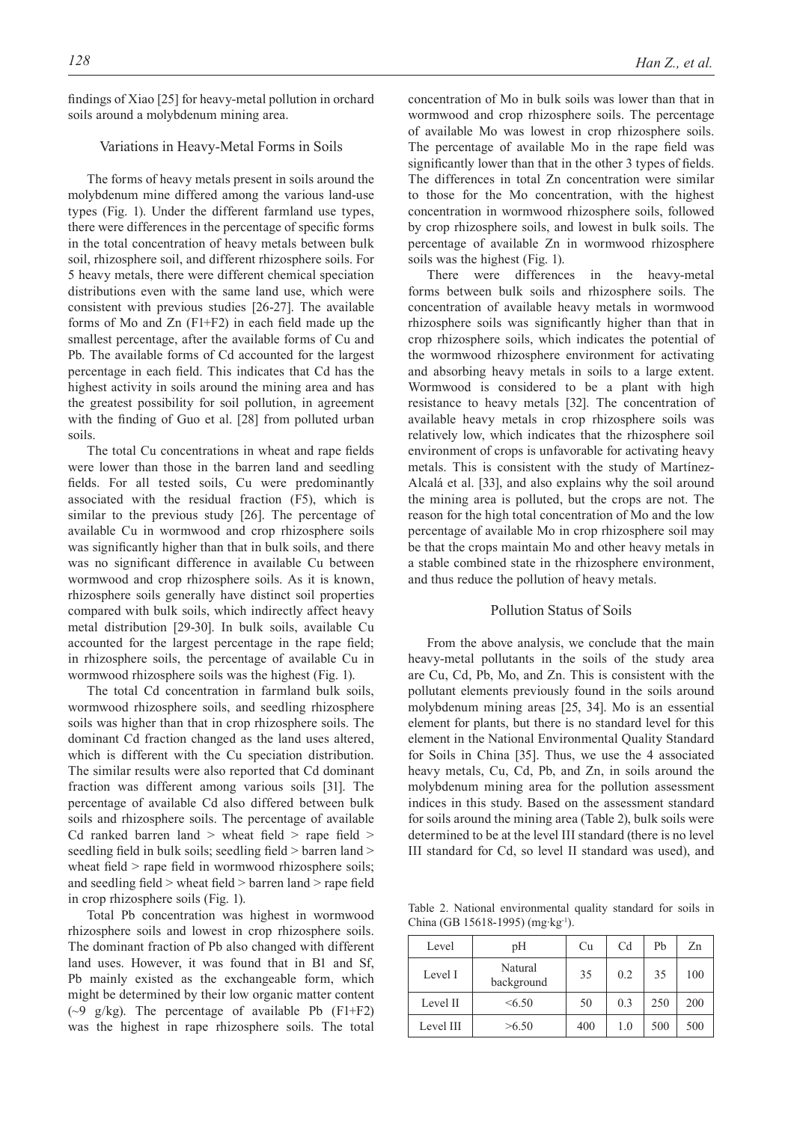#### Variations in Heavy-Metal Forms in Soils

The forms of heavy metals present in soils around the molybdenum mine differed among the various land-use types (Fig. 1). Under the different farmland use types, there were differences in the percentage of specific forms in the total concentration of heavy metals between bulk soil, rhizosphere soil, and different rhizosphere soils. For 5 heavy metals, there were different chemical speciation distributions even with the same land use, which were consistent with previous studies [26-27]. The available forms of Mo and Zn (F1+F2) in each field made up the smallest percentage, after the available forms of Cu and Pb. The available forms of Cd accounted for the largest percentage in each field. This indicates that Cd has the highest activity in soils around the mining area and has the greatest possibility for soil pollution, in agreement with the finding of Guo et al. [28] from polluted urban soils.

The total Cu concentrations in wheat and rape fields were lower than those in the barren land and seedling fields. For all tested soils, Cu were predominantly associated with the residual fraction (F5), which is similar to the previous study [26]. The percentage of available Cu in wormwood and crop rhizosphere soils was significantly higher than that in bulk soils, and there was no significant difference in available Cu between wormwood and crop rhizosphere soils. As it is known, rhizosphere soils generally have distinct soil properties compared with bulk soils, which indirectly affect heavy metal distribution [29-30]. In bulk soils, available Cu accounted for the largest percentage in the rape field; in rhizosphere soils, the percentage of available Cu in wormwood rhizosphere soils was the highest (Fig. 1).

The total Cd concentration in farmland bulk soils, wormwood rhizosphere soils, and seedling rhizosphere soils was higher than that in crop rhizosphere soils. The dominant Cd fraction changed as the land uses altered, which is different with the Cu speciation distribution. The similar results were also reported that Cd dominant fraction was different among various soils [31]. The percentage of available Cd also differed between bulk soils and rhizosphere soils. The percentage of available Cd ranked barren land  $>$  wheat field  $>$  rape field  $>$ seedling field in bulk soils; seedling field > barren land > wheat field > rape field in wormwood rhizosphere soils; and seedling field > wheat field > barren land > rape field in crop rhizosphere soils (Fig. 1).

Total Pb concentration was highest in wormwood rhizosphere soils and lowest in crop rhizosphere soils. The dominant fraction of Pb also changed with different land uses. However, it was found that in B1 and Sf, Pb mainly existed as the exchangeable form, which might be determined by their low organic matter content ( $\sim$ 9 g/kg). The percentage of available Pb ( $F1 + F2$ ) was the highest in rape rhizosphere soils. The total

concentration of Mo in bulk soils was lower than that in wormwood and crop rhizosphere soils. The percentage of available Mo was lowest in crop rhizosphere soils. The percentage of available Mo in the rape field was significantly lower than that in the other 3 types of fields. The differences in total Zn concentration were similar to those for the Mo concentration, with the highest concentration in wormwood rhizosphere soils, followed by crop rhizosphere soils, and lowest in bulk soils. The percentage of available Zn in wormwood rhizosphere soils was the highest (Fig. 1).

There were differences in the heavy-metal forms between bulk soils and rhizosphere soils. The concentration of available heavy metals in wormwood rhizosphere soils was significantly higher than that in crop rhizosphere soils, which indicates the potential of the wormwood rhizosphere environment for activating and absorbing heavy metals in soils to a large extent. Wormwood is considered to be a plant with high resistance to heavy metals [32]. The concentration of available heavy metals in crop rhizosphere soils was relatively low, which indicates that the rhizosphere soil environment of crops is unfavorable for activating heavy metals. This is consistent with the study of Martínez-Alcalá et al. [33], and also explains why the soil around the mining area is polluted, but the crops are not. The reason for the high total concentration of Mo and the low percentage of available Mo in crop rhizosphere soil may be that the crops maintain Mo and other heavy metals in a stable combined state in the rhizosphere environment, and thus reduce the pollution of heavy metals.

# Pollution Status of Soils

From the above analysis, we conclude that the main heavy-metal pollutants in the soils of the study area are Cu, Cd, Pb, Mo, and Zn. This is consistent with the pollutant elements previously found in the soils around molybdenum mining areas [25, 34]. Mo is an essential element for plants, but there is no standard level for this element in the National Environmental Quality Standard for Soils in China [35]. Thus, we use the 4 associated heavy metals, Cu, Cd, Pb, and Zn, in soils around the molybdenum mining area for the pollution assessment indices in this study. Based on the assessment standard for soils around the mining area (Table 2), bulk soils were determined to be at the level III standard (there is no level III standard for Cd, so level II standard was used), and

Table 2. National environmental quality standard for soils in China (GB 15618-1995) (mg·kg-1).

| Level     | pН                    | Cu  | C <sub>d</sub> | Ph  | Zn  |
|-----------|-----------------------|-----|----------------|-----|-----|
| Level I   | Natural<br>background | 35  | 0.2            | 35  | 100 |
| Level II  | <6.50                 | 50  | 0.3            | 250 | 200 |
| Level III | >6.50                 | 400 | 1.0            | 500 | 500 |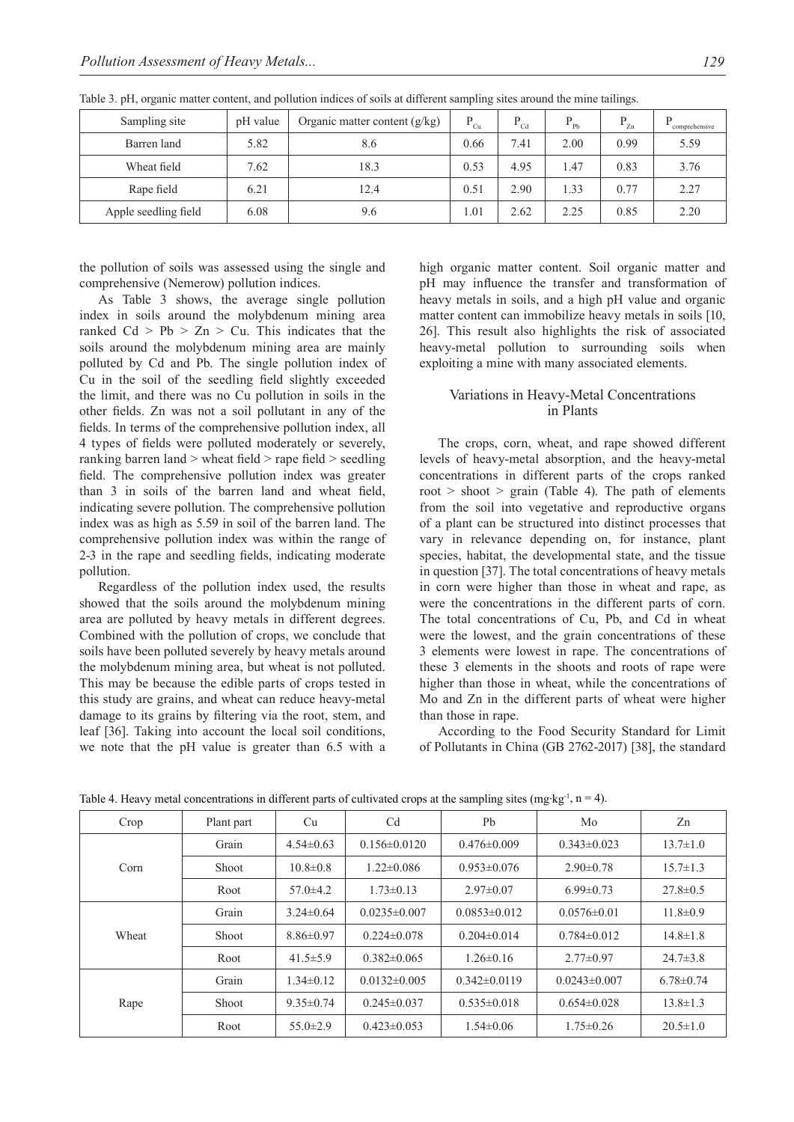| Sampling site        | pH value | Organic matter content $(g/kg)$ | $P_{Cu}$ | D<br>Cd | Pb   | D<br>Zn | D<br>comprehensive |
|----------------------|----------|---------------------------------|----------|---------|------|---------|--------------------|
| Barren land          | 5.82     | 8.6                             | 0.66     | 7.41    | 2.00 | 0.99    | 5.59               |
| Wheat field          | 7.62     | 18.3                            | 0.53     | 4.95    | 1.47 | 0.83    | 3.76               |
| Rape field           | 6.21     | 12.4                            | 0.51     | 2.90    | 1.33 | 0.77    | 2.27               |
| Apple seedling field | 6.08     | 9.6                             | 1.01     | 2.62    | 2.25 | 0.85    | 2.20               |

Table 3. pH, organic matter content, and pollution indices of soils at different sampling sites around the mine tailings.

the pollution of soils was assessed using the single and comprehensive (Nemerow) pollution indices.

As Table 3 shows, the average single pollution index in soils around the molybdenum mining area ranked  $Cd > Pb > Zn > Cu$ . This indicates that the soils around the molybdenum mining area are mainly polluted by Cd and Pb. The single pollution index of Cu in the soil of the seedling field slightly exceeded the limit, and there was no Cu pollution in soils in the other fields. Zn was not a soil pollutant in any of the fields. In terms of the comprehensive pollution index, all 4 types of fields were polluted moderately or severely, ranking barren land > wheat field > rape field > seedling field. The comprehensive pollution index was greater than 3 in soils of the barren land and wheat field, indicating severe pollution. The comprehensive pollution index was as high as 5.59 in soil of the barren land. The comprehensive pollution index was within the range of 2-3 in the rape and seedling fields, indicating moderate pollution.

Regardless of the pollution index used, the results showed that the soils around the molybdenum mining area are polluted by heavy metals in different degrees. Combined with the pollution of crops, we conclude that soils have been polluted severely by heavy metals around the molybdenum mining area, but wheat is not polluted. This may be because the edible parts of crops tested in this study are grains, and wheat can reduce heavy-metal damage to its grains by filtering via the root, stem, and leaf [36]. Taking into account the local soil conditions, we note that the pH value is greater than 6.5 with a high organic matter content. Soil organic matter and pH may influence the transfer and transformation of heavy metals in soils, and a high pH value and organic matter content can immobilize heavy metals in soils [10, 26]. This result also highlights the risk of associated heavy-metal pollution to surrounding soils when exploiting a mine with many associated elements.

# Variations in Heavy-Metal Concentrations in Plants

The crops, corn, wheat, and rape showed different levels of heavy-metal absorption, and the heavy-metal concentrations in different parts of the crops ranked root  $>$  shoot  $>$  grain (Table 4). The path of elements from the soil into vegetative and reproductive organs of a plant can be structured into distinct processes that vary in relevance depending on, for instance, plant species, habitat, the developmental state, and the tissue in question [37]. The total concentrations of heavy metals in corn were higher than those in wheat and rape, as were the concentrations in the different parts of corn. The total concentrations of Cu, Pb, and Cd in wheat were the lowest, and the grain concentrations of these 3 elements were lowest in rape. The concentrations of these 3 elements in the shoots and roots of rape were higher than those in wheat, while the concentrations of Mo and Zn in the different parts of wheat were higher than those in rape.

According to the Food Security Standard for Limit of Pollutants in China (GB 2762-2017) [38], the standard

| Crop  | Plant part | Cu              | C <sub>d</sub>                        | P <sub>b</sub>    | Mo                 | Zn              |
|-------|------------|-----------------|---------------------------------------|-------------------|--------------------|-----------------|
|       | Grain      | $4.54 \pm 0.63$ | $0.156 \pm 0.0120$<br>$0.476\pm0.009$ |                   | $0.343 \pm 0.023$  | $13.7 \pm 1.0$  |
| Corn  | Shoot      | $10.8 \pm 0.8$  | $1.22 \pm 0.086$<br>$0.953\pm0.076$   |                   | $2.90 \pm 0.78$    | $15.7 \pm 1.3$  |
|       | Root       | $57.0 \pm 4.2$  | $1.73 \pm 0.13$                       | $2.97\pm0.07$     | $6.99 \pm 0.73$    | $27.8 \pm 0.5$  |
|       | Grain      | $3.24\pm 0.64$  | $0.0235\pm0.007$                      | $0.0853\pm0.012$  | $0.0576\pm0.01$    | $11.8 \pm 0.9$  |
| Wheat | Shoot      | $8.86 \pm 0.97$ | $0.224\pm0.078$                       | $0.204 \pm 0.014$ | $0.784\pm0.012$    | $14.8 \pm 1.8$  |
|       | Root       | 41.5 $\pm$ 5.9  | $0.382\pm0.065$                       | $1.26 \pm 0.16$   | $2.77 \pm 0.97$    | $24.7 \pm 3.8$  |
|       | Grain      | $1.34\pm0.12$   | $0.0132\pm0.005$                      | $0.342\pm0.0119$  | $0.0243 \pm 0.007$ | $6.78 \pm 0.74$ |
| Rape  | Shoot      | $9.35 \pm 0.74$ | $0.245\pm0.037$                       | $0.535\pm0.018$   | $0.654 \pm 0.028$  | $13.8 \pm 1.3$  |
|       | Root       | $55.0 \pm 2.9$  | $0.423 \pm 0.053$                     | $1.54\pm0.06$     | $1.75 \pm 0.26$    | $20.5 \pm 1.0$  |

Table 4. Heavy metal concentrations in different parts of cultivated crops at the sampling sites (mg·kg<sup>-1</sup>, n = 4).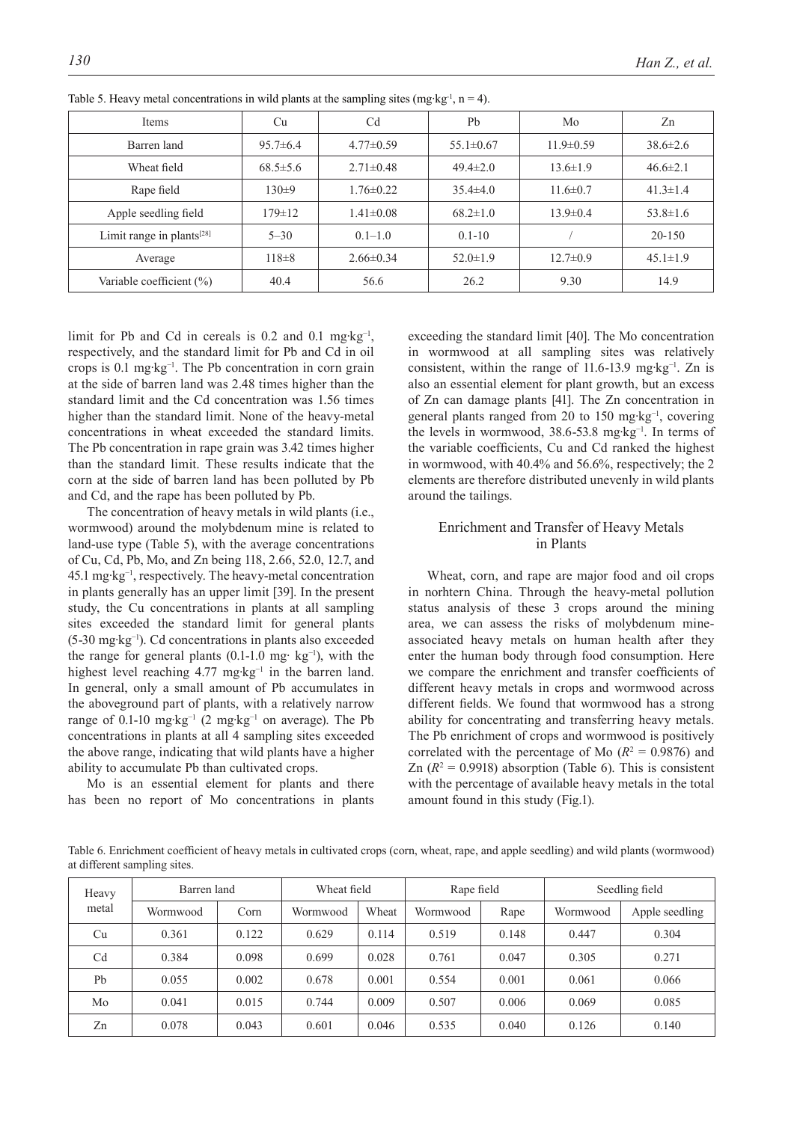| Items                                 | Cu             | Cd              | Pb              | Mo              | Zn             |
|---------------------------------------|----------------|-----------------|-----------------|-----------------|----------------|
| Barren land                           | $95.7\pm 6.4$  | $4.77 \pm 0.59$ | $55.1 \pm 0.67$ | $11.9 \pm 0.59$ | $38.6 \pm 2.6$ |
| Wheat field                           | $68.5 \pm 5.6$ | $2.71\pm0.48$   | $49.4 \pm 2.0$  | $13.6 \pm 1.9$  | $46.6 \pm 2.1$ |
| Rape field                            | $130+9$        | $1.76 \pm 0.22$ | $35.4 \pm 4.0$  | $11.6 \pm 0.7$  | $41.3 \pm 1.4$ |
| Apple seedling field                  | $179 \pm 12$   | $1.41 \pm 0.08$ | $68.2 \pm 1.0$  | $13.9 \pm 0.4$  | $53.8 \pm 1.6$ |
| Limit range in plants <sup>[28]</sup> | $5 - 30$       | $0.1 - 1.0$     | $0.1 - 10$      |                 | $20 - 150$     |
| Average                               | $118\pm8$      | $2.66\pm0.34$   | $52.0 \pm 1.9$  | $12.7 \pm 0.9$  | $45.1 \pm 1.9$ |
| Variable coefficient (%)              | 40.4           | 56.6            | 26.2            | 9.30            | 14.9           |

Table 5. Heavy metal concentrations in wild plants at the sampling sites (mg·kg<sup>-1</sup>, n = 4).

limit for Pb and Cd in cereals is  $0.2$  and  $0.1$  mg·kg<sup>-1</sup>, respectively, and the standard limit for Pb and Cd in oil crops is 0.1 mg·kg−1. The Pb concentration in corn grain at the side of barren land was 2.48 times higher than the standard limit and the Cd concentration was 1.56 times higher than the standard limit. None of the heavy-metal concentrations in wheat exceeded the standard limits. The Pb concentration in rape grain was 3.42 times higher than the standard limit. These results indicate that the corn at the side of barren land has been polluted by Pb and Cd, and the rape has been polluted by Pb.

The concentration of heavy metals in wild plants (i.e., wormwood) around the molybdenum mine is related to land-use type (Table 5), with the average concentrations of Cu, Cd, Pb, Mo, and Zn being 118, 2.66, 52.0, 12.7, and 45.1 mg·kg−1, respectively. The heavy-metal concentration in plants generally has an upper limit [39]. In the present study, the Cu concentrations in plants at all sampling sites exceeded the standard limit for general plants (5-30 mg·kg−1). Cd concentrations in plants also exceeded the range for general plants (0.1-1.0 mg· kg−1), with the highest level reaching 4.77 mg·kg<sup>-1</sup> in the barren land. In general, only a small amount of Pb accumulates in the aboveground part of plants, with a relatively narrow range of 0.1-10 mg·kg−1 (2 mg·kg−1 on average). The Pb concentrations in plants at all 4 sampling sites exceeded the above range, indicating that wild plants have a higher ability to accumulate Pb than cultivated crops.

Mo is an essential element for plants and there has been no report of Mo concentrations in plants exceeding the standard limit [40]. The Mo concentration in wormwood at all sampling sites was relatively consistent, within the range of 11.6-13.9 mg·kg−1. Zn is also an essential element for plant growth, but an excess of Zn can damage plants [41]. The Zn concentration in general plants ranged from 20 to 150 mg·kg<sup>-1</sup>, covering the levels in wormwood, 38.6-53.8 mg·kg−1. In terms of the variable coefficients, Cu and Cd ranked the highest in wormwood, with 40.4% and 56.6%, respectively; the 2 elements are therefore distributed unevenly in wild plants around the tailings.

# Enrichment and Transfer of Heavy Metals in Plants

Wheat, corn, and rape are major food and oil crops in norhtern China. Through the heavy-metal pollution status analysis of these 3 crops around the mining area, we can assess the risks of molybdenum mineassociated heavy metals on human health after they enter the human body through food consumption. Here we compare the enrichment and transfer coefficients of different heavy metals in crops and wormwood across different fields. We found that wormwood has a strong ability for concentrating and transferring heavy metals. The Pb enrichment of crops and wormwood is positively correlated with the percentage of Mo  $(R<sup>2</sup> = 0.9876)$  and Zn  $(R^2 = 0.9918)$  absorption (Table 6). This is consistent with the percentage of available heavy metals in the total amount found in this study (Fig.1).

Table 6. Enrichment coefficient of heavy metals in cultivated crops (corn, wheat, rape, and apple seedling) and wild plants (wormwood) at different sampling sites.

| Barren land<br>Heavy |          | Wheat field |          | Rape field |          | Seedling field |          |                |
|----------------------|----------|-------------|----------|------------|----------|----------------|----------|----------------|
| metal                | Wormwood | Corn        | Wormwood | Wheat      | Wormwood | Rape           | Wormwood | Apple seedling |
| Cu                   | 0.361    | 0.122       | 0.629    | 0.114      | 0.519    | 0.148          | 0.447    | 0.304          |
| C <sub>d</sub>       | 0.384    | 0.098       | 0.699    | 0.028      | 0.761    | 0.047          | 0.305    | 0.271          |
| Pb                   | 0.055    | 0.002       | 0.678    | 0.001      | 0.554    | 0.001          | 0.061    | 0.066          |
| Mo                   | 0.041    | 0.015       | 0.744    | 0.009      | 0.507    | 0.006          | 0.069    | 0.085          |
| Zn                   | 0.078    | 0.043       | 0.601    | 0.046      | 0.535    | 0.040          | 0.126    | 0.140          |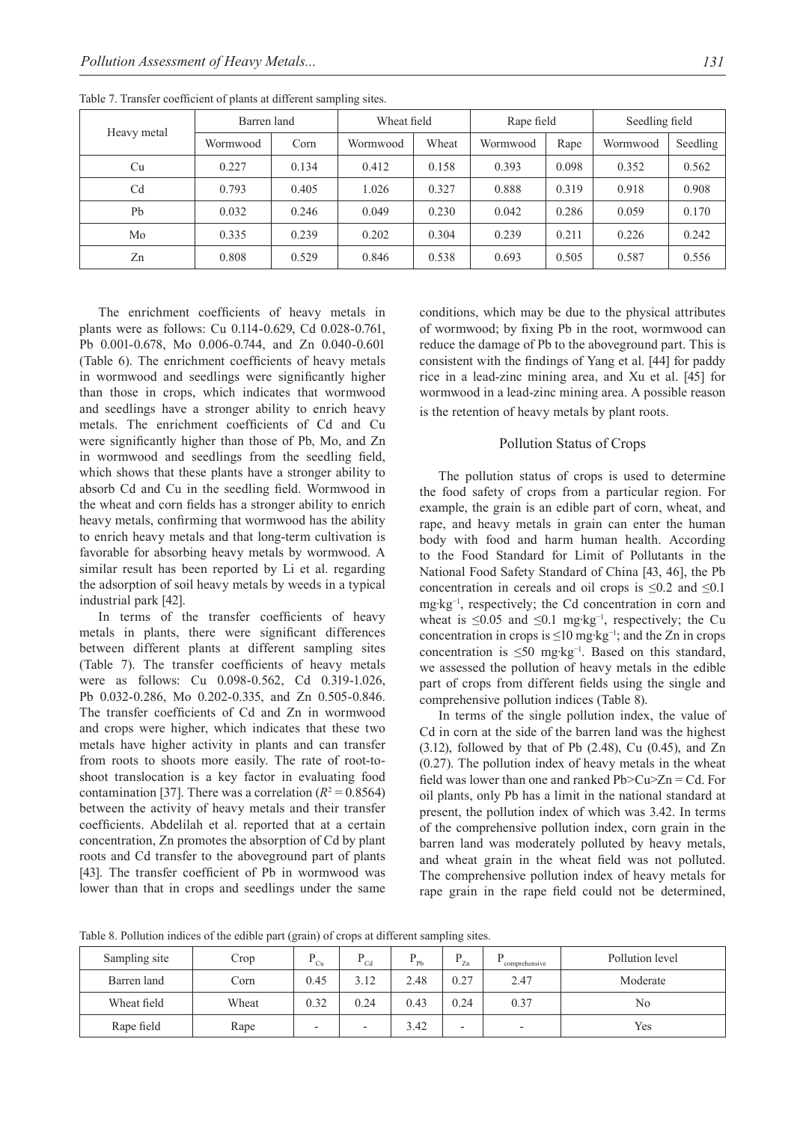|                | Barren land |       | Wheat field |       | Rape field |       | Seedling field |          |
|----------------|-------------|-------|-------------|-------|------------|-------|----------------|----------|
| Heavy metal    | Wormwood    | Corn  | Wormwood    | Wheat | Wormwood   | Rape  | Wormwood       | Seedling |
| Cu             | 0.227       | 0.134 | 0.412       | 0.158 | 0.393      | 0.098 | 0.352          | 0.562    |
| C <sub>d</sub> | 0.793       | 0.405 | 1.026       | 0.327 | 0.888      | 0.319 | 0.918          | 0.908    |
| Pb             | 0.032       | 0.246 | 0.049       | 0.230 | 0.042      | 0.286 | 0.059          | 0.170    |
| Mo             | 0.335       | 0.239 | 0.202       | 0.304 | 0.239      | 0.211 | 0.226          | 0.242    |
| Zn             | 0.808       | 0.529 | 0.846       | 0.538 | 0.693      | 0.505 | 0.587          | 0.556    |

Table 7. Transfer coefficient of plants at different sampling sites.

The enrichment coefficients of heavy metals in plants were as follows: Cu 0.114-0.629, Cd 0.028-0.761, Pb 0.001-0.678, Mo 0.006-0.744, and Zn 0.040-0.601 (Table 6). The enrichment coefficients of heavy metals in wormwood and seedlings were significantly higher than those in crops, which indicates that wormwood and seedlings have a stronger ability to enrich heavy metals. The enrichment coefficients of Cd and Cu were significantly higher than those of Pb, Mo, and Zn in wormwood and seedlings from the seedling field, which shows that these plants have a stronger ability to absorb Cd and Cu in the seedling field. Wormwood in the wheat and corn fields has a stronger ability to enrich heavy metals, confirming that wormwood has the ability to enrich heavy metals and that long-term cultivation is favorable for absorbing heavy metals by wormwood. A similar result has been reported by Li et al. regarding the adsorption of soil heavy metals by weeds in a typical industrial park [42].

In terms of the transfer coefficients of heavy metals in plants, there were significant differences between different plants at different sampling sites (Table 7). The transfer coefficients of heavy metals were as follows: Cu 0.098-0.562, Cd 0.319-1.026, Pb 0.032-0.286, Mo 0.202-0.335, and Zn 0.505-0.846. The transfer coefficients of Cd and Zn in wormwood and crops were higher, which indicates that these two metals have higher activity in plants and can transfer from roots to shoots more easily. The rate of root-toshoot translocation is a key factor in evaluating food contamination [37]. There was a correlation  $(R^2 = 0.8564)$ between the activity of heavy metals and their transfer coefficients. Abdelilah et al. reported that at a certain concentration, Zn promotes the absorption of Cd by plant roots and Cd transfer to the aboveground part of plants [43]. The transfer coefficient of Pb in wormwood was lower than that in crops and seedlings under the same

conditions, which may be due to the physical attributes of wormwood; by fixing Pb in the root, wormwood can reduce the damage of Pb to the aboveground part. This is consistent with the findings of Yang et al. [44] for paddy rice in a lead-zinc mining area, and Xu et al. [45] for wormwood in a lead-zinc mining area. A possible reason is the retention of heavy metals by plant roots.

#### Pollution Status of Crops

The pollution status of crops is used to determine the food safety of crops from a particular region. For example, the grain is an edible part of corn, wheat, and rape, and heavy metals in grain can enter the human body with food and harm human health. According to the Food Standard for Limit of Pollutants in the National Food Safety Standard of China [43, 46], the Pb concentration in cereals and oil crops is  $\leq 0.2$  and  $\leq 0.1$ mg·kg−1, respectively; the Cd concentration in corn and wheat is  $\leq 0.05$  and  $\leq 0.1$  mg·kg<sup>-1</sup>, respectively; the Cu concentration in crops is ≤10 mg·kg−1; and the Zn in crops concentration is ≤50 mg·kg−1. Based on this standard, we assessed the pollution of heavy metals in the edible part of crops from different fields using the single and comprehensive pollution indices (Table 8).

In terms of the single pollution index, the value of Cd in corn at the side of the barren land was the highest  $(3.12)$ , followed by that of Pb  $(2.48)$ , Cu  $(0.45)$ , and Zn (0.27). The pollution index of heavy metals in the wheat field was lower than one and ranked  $Pb > Cu > Zn = Cd$ . For oil plants, only Pb has a limit in the national standard at present, the pollution index of which was 3.42. In terms of the comprehensive pollution index, corn grain in the barren land was moderately polluted by heavy metals, and wheat grain in the wheat field was not polluted. The comprehensive pollution index of heavy metals for rape grain in the rape field could not be determined,

Table 8. Pollution indices of the edible part (grain) of crops at different sampling sites.

| $\sim$<br>$\tilde{\phantom{a}}$ |       |         |                          |                 |                          |                          |                 |  |
|---------------------------------|-------|---------|--------------------------|-----------------|--------------------------|--------------------------|-----------------|--|
| Sampling site                   | Crop  | D<br>Cu | $^{\bullet}$ Cd          | $^{\bullet}$ Pb | D<br>$\overline{z}$ zn   | comprehensive            | Pollution level |  |
| Barren land                     | Corn  | 0.45    | 3.12                     | 2.48            | 0.27                     | 2.47                     | Moderate        |  |
| Wheat field                     | Wheat | 0.32    | 0.24                     | 0.43            | 0.24                     | 0.37                     | No              |  |
| Rape field                      | Rape  |         | $\overline{\phantom{0}}$ | 3.42            | $\overline{\phantom{0}}$ | $\overline{\phantom{0}}$ | Yes             |  |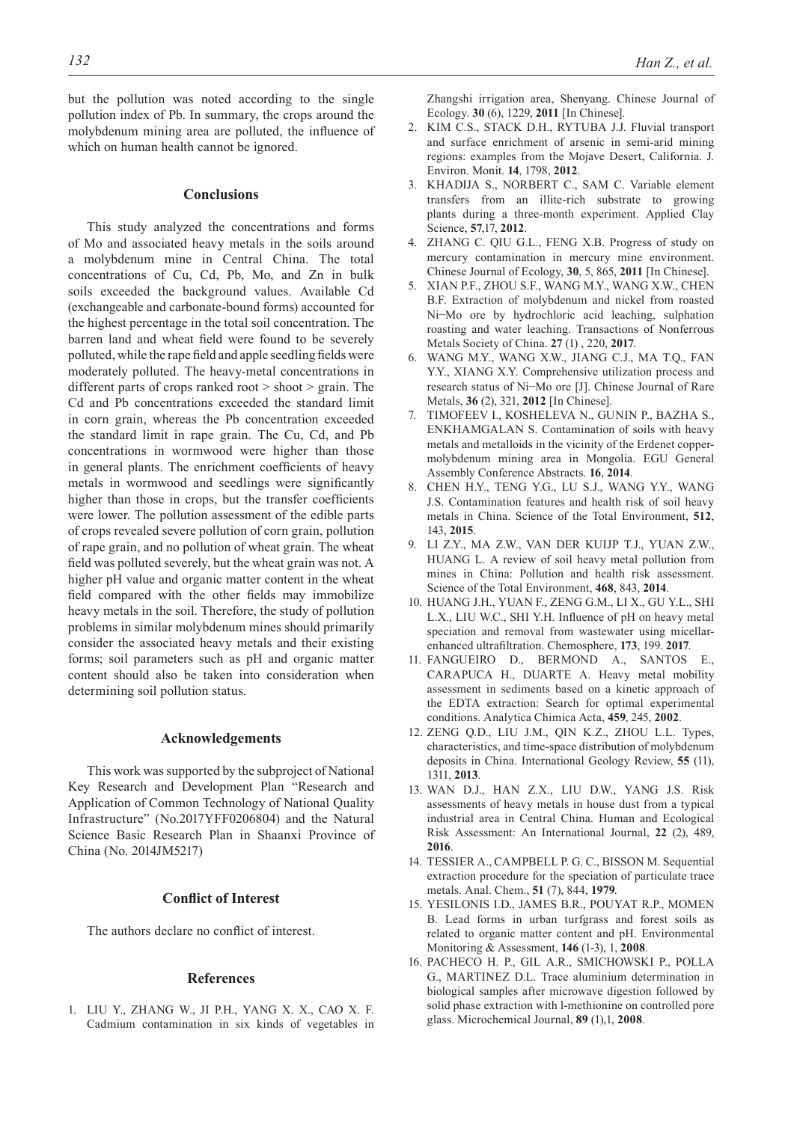but the pollution was noted according to the single pollution index of Pb. In summary, the crops around the molybdenum mining area are polluted, the influence of which on human health cannot be ignored.

# **Conclusions**

This study analyzed the concentrations and forms of Mo and associated heavy metals in the soils around a molybdenum mine in Central China. The total concentrations of Cu, Cd, Pb, Mo, and Zn in bulk soils exceeded the background values. Available Cd (exchangeable and carbonate-bound forms) accounted for the highest percentage in the total soil concentration. The barren land and wheat field were found to be severely polluted, while the rape field and apple seedling fields were moderately polluted. The heavy-metal concentrations in different parts of crops ranked root > shoot > grain. The Cd and Pb concentrations exceeded the standard limit in corn grain, whereas the Pb concentration exceeded the standard limit in rape grain. The Cu, Cd, and Pb concentrations in wormwood were higher than those in general plants. The enrichment coefficients of heavy metals in wormwood and seedlings were significantly higher than those in crops, but the transfer coefficients were lower. The pollution assessment of the edible parts of crops revealed severe pollution of corn grain, pollution of rape grain, and no pollution of wheat grain. The wheat field was polluted severely, but the wheat grain was not. A higher pH value and organic matter content in the wheat field compared with the other fields may immobilize heavy metals in the soil. Therefore, the study of pollution problems in similar molybdenum mines should primarily consider the associated heavy metals and their existing forms; soil parameters such as pH and organic matter content should also be taken into consideration when determining soil pollution status.

#### **Acknowledgements**

This work was supported by the subproject of National Key Research and Development Plan "Research and Application of Common Technology of National Quality Infrastructure" (No.2017YFF0206804) and the Natural Science Basic Research Plan in Shaanxi Province of China (No. 2014JM5217)

#### **Conflict of Interest**

The authors declare no conflict of interest.

#### **References**

1. LIU Y., ZHANG W., JI P.H., YANG X. X., CAO X. F. Cadmium contamination in six kinds of vegetables in Zhangshi irrigation area, Shenyang. Chinese Journal of Ecology. **30** (6), 1229, **2011** [In Chinese].

- 2. KIM C.S., STACK D.H., RYTUBA J.J. Fluvial transport and surface enrichment of arsenic in semi-arid mining regions: examples from the Mojave Desert, California. J. Environ. Monit. **14**, 1798, **2012**.
- 3. KHADIJA S., NORBERT C., SAM C. Variable element transfers from an illite-rich substrate to growing plants during a three-month experiment. Applied Clay Science, **57**,17, **2012**.
- 4. ZHANG C. QIU G.L., FENG X.B. Progress of study on mercury contamination in mercury mine environment. Chinese Journal of Ecology, **30**, 5, 865, **2011** [In Chinese].
- 5. XIAN P.F., ZHOU S.F., WANG M.Y., WANG X.W., CHEN B.F. Extraction of molybdenum and nickel from roasted Ni−Mo ore by hydrochloric acid leaching, sulphation roasting and water leaching. Transactions of Nonferrous Metals Society of China. **27** (1) , 220, **2017**.
- 6. WANG M.Y., WANG X.W., JIANG C.J., MA T.Q., FAN Y.Y., XIANG X.Y. Comprehensive utilization process and research status of Ni−Mo ore [J]. Chinese Journal of Rare Metals, **36** (2), 321, **2012** [In Chinese].
- 7. TIMOFEEV I., KOSHELEVA N., GUNIN P., BAZHA S., ENKHAMGALAN S. Contamination of soils with heavy metals and metalloids in the vicinity of the Erdenet coppermolybdenum mining area in Mongolia. EGU General Assembly Conference Abstracts. **16**, **2014**.
- 8. CHEN H.Y., TENG Y.G., LU S.J., WANG Y.Y., WANG J.S. Contamination features and health risk of soil heavy metals in China. Science of the Total Environment, **512**, 143, **2015**.
- 9. LI Z.Y., MA Z.W., VAN DER KUIJP T.J., YUAN Z.W., HUANG L. A review of soil heavy metal pollution from mines in China: Pollution and health risk assessment. Science of the Total Environment, **468**, 843, **2014**.
- 10. HUANG J.H., YUAN F., ZENG G.M., LI X., GU Y.L., SHI L.X., LIU W.C., SHI Y.H. Influence of pH on heavy metal speciation and removal from wastewater using micellarenhanced ultrafiltration. Chemosphere, **173**, 199. **2017**.
- 11. FANGUEIRO D., BERMOND A., SANTOS E., CARAPUCA H., DUARTE A. Heavy metal mobility assessment in sediments based on a kinetic approach of the EDTA extraction: Search for optimal experimental conditions. Analytica Chimica Acta, **459**, 245, **2002**.
- 12. ZENG Q.D., LIU J.M., QIN K.Z., ZHOU L.L. Types, characteristics, and time-space distribution of molybdenum deposits in China. International Geology Review, **55** (11), 1311, **2013**.
- 13. WAN D.J., HAN Z.X., LIU D.W., YANG J.S. Risk assessments of heavy metals in house dust from a typical industrial area in Central China. Human and Ecological Risk Assessment: An International Journal, **22** (2), 489, **2016**.
- 14. TESSIER A., CAMPBELL P. G. C., BISSON M. Sequential extraction procedure for the speciation of particulate trace metals. Anal. Chem., **51** (7), 844, **1979**.
- 15. YESILONIS I.D., JAMES B.R., POUYAT R.P., MOMEN B. Lead forms in urban turfgrass and forest soils as related to organic matter content and pH. Environmental Monitoring & Assessment, **146** (1-3), 1, **2008**.
- 16. PACHECO H. P., GIL A.R., SMICHOWSKI P., POLLA G., MARTINEZ D.L. Trace aluminium determination in biological samples after microwave digestion followed by solid phase extraction with l-methionine on controlled pore glass. Microchemical Journal, **89** (1),1, **2008**.